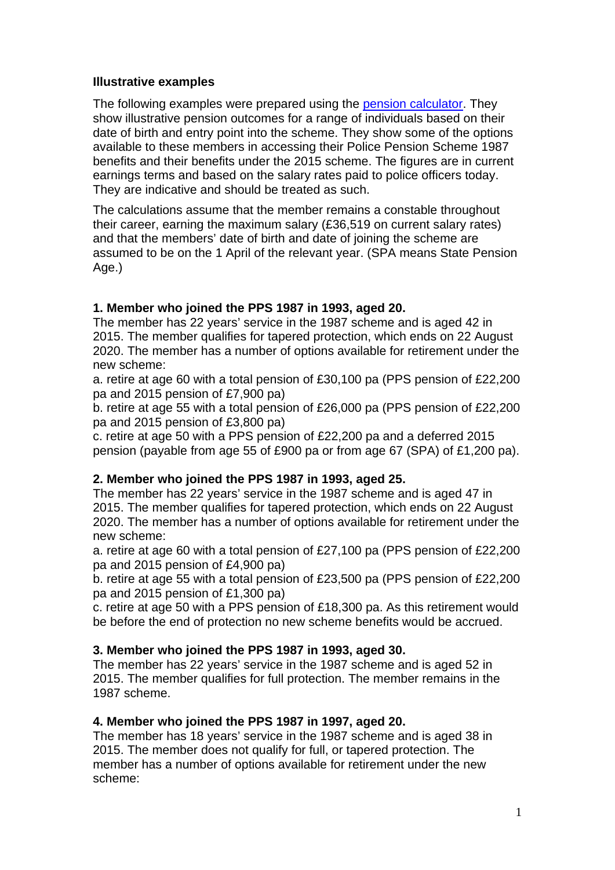#### **Illustrative examples**

The following examples were prepared using the [pension calculator](http://www.homeoffice.gov.uk/publications/police/new-pension-docs/calculator). They show illustrative pension outcomes for a range of individuals based on their date of birth and entry point into the scheme. They show some of the options available to these members in accessing their Police Pension Scheme 1987 benefits and their benefits under the 2015 scheme. The figures are in current earnings terms and based on the salary rates paid to police officers today. They are indicative and should be treated as such.

The calculations assume that the member remains a constable throughout their career, earning the maximum salary (£36,519 on current salary rates) and that the members' date of birth and date of joining the scheme are assumed to be on the 1 April of the relevant year. (SPA means State Pension Age.)

## **1. Member who joined the PPS 1987 in 1993, aged 20.**

The member has 22 years' service in the 1987 scheme and is aged 42 in 2015. The member qualifies for tapered protection, which ends on 22 August 2020. The member has a number of options available for retirement under the new scheme:

a. retire at age 60 with a total pension of £30,100 pa (PPS pension of £22,200 pa and 2015 pension of £7,900 pa)

b. retire at age 55 with a total pension of £26,000 pa (PPS pension of £22,200 pa and 2015 pension of £3,800 pa)

c. retire at age 50 with a PPS pension of £22,200 pa and a deferred 2015 pension (payable from age 55 of £900 pa or from age 67 (SPA) of £1,200 pa).

## **2. Member who joined the PPS 1987 in 1993, aged 25.**

The member has 22 years' service in the 1987 scheme and is aged 47 in 2015. The member qualifies for tapered protection, which ends on 22 August 2020. The member has a number of options available for retirement under the new scheme:

a. retire at age 60 with a total pension of £27,100 pa (PPS pension of £22,200 pa and 2015 pension of £4,900 pa)

b. retire at age 55 with a total pension of £23,500 pa (PPS pension of £22,200 pa and 2015 pension of £1,300 pa)

c. retire at age 50 with a PPS pension of £18,300 pa. As this retirement would be before the end of protection no new scheme benefits would be accrued.

#### **3. Member who joined the PPS 1987 in 1993, aged 30.**

The member has 22 years' service in the 1987 scheme and is aged 52 in 2015. The member qualifies for full protection. The member remains in the 1987 scheme.

#### **4. Member who joined the PPS 1987 in 1997, aged 20.**

The member has 18 years' service in the 1987 scheme and is aged 38 in 2015. The member does not qualify for full, or tapered protection. The member has a number of options available for retirement under the new scheme: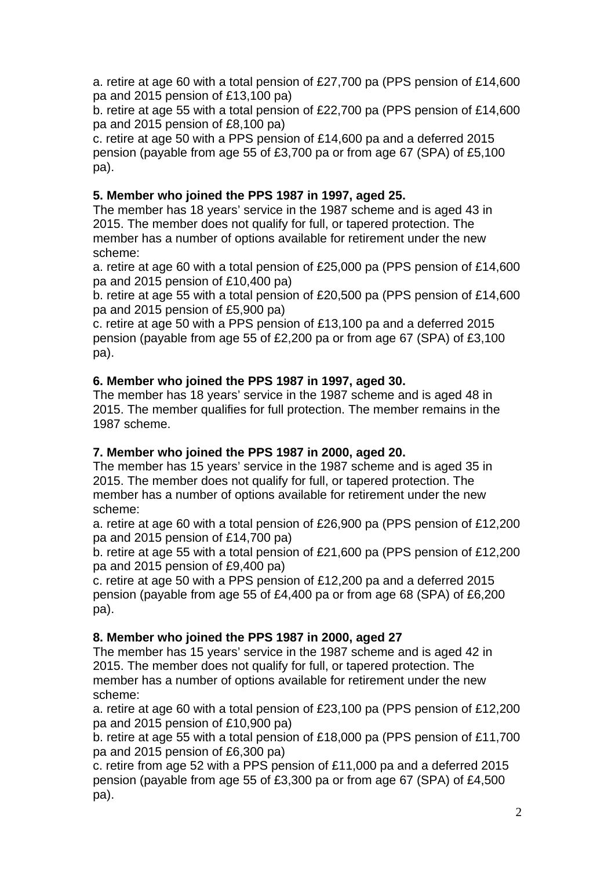a. retire at age 60 with a total pension of £27,700 pa (PPS pension of £14,600 pa and 2015 pension of £13,100 pa)

b. retire at age 55 with a total pension of £22,700 pa (PPS pension of £14,600 pa and 2015 pension of £8,100 pa)

c. retire at age 50 with a PPS pension of £14,600 pa and a deferred 2015 pension (payable from age 55 of £3,700 pa or from age 67 (SPA) of £5,100 pa).

## **5. Member who joined the PPS 1987 in 1997, aged 25.**

The member has 18 years' service in the 1987 scheme and is aged 43 in 2015. The member does not qualify for full, or tapered protection. The member has a number of options available for retirement under the new scheme:

a. retire at age 60 with a total pension of £25,000 pa (PPS pension of £14,600 pa and 2015 pension of £10,400 pa)

b. retire at age 55 with a total pension of £20,500 pa (PPS pension of £14,600 pa and 2015 pension of £5,900 pa)

c. retire at age 50 with a PPS pension of £13,100 pa and a deferred 2015 pension (payable from age 55 of £2,200 pa or from age 67 (SPA) of £3,100 pa).

## **6. Member who joined the PPS 1987 in 1997, aged 30.**

The member has 18 years' service in the 1987 scheme and is aged 48 in 2015. The member qualifies for full protection. The member remains in the 1987 scheme.

## **7. Member who joined the PPS 1987 in 2000, aged 20.**

The member has 15 years' service in the 1987 scheme and is aged 35 in 2015. The member does not qualify for full, or tapered protection. The member has a number of options available for retirement under the new scheme:

a. retire at age 60 with a total pension of £26,900 pa (PPS pension of £12,200 pa and 2015 pension of £14,700 pa)

b. retire at age 55 with a total pension of £21,600 pa (PPS pension of £12,200 pa and 2015 pension of £9,400 pa)

c. retire at age 50 with a PPS pension of £12,200 pa and a deferred 2015 pension (payable from age 55 of £4,400 pa or from age 68 (SPA) of £6,200 pa).

# **8. Member who joined the PPS 1987 in 2000, aged 27**

The member has 15 years' service in the 1987 scheme and is aged 42 in 2015. The member does not qualify for full, or tapered protection. The member has a number of options available for retirement under the new scheme:

a. retire at age 60 with a total pension of £23,100 pa (PPS pension of £12,200 pa and 2015 pension of £10,900 pa)

b. retire at age 55 with a total pension of £18,000 pa (PPS pension of £11,700 pa and 2015 pension of £6,300 pa)

c. retire from age 52 with a PPS pension of £11,000 pa and a deferred 2015 pension (payable from age 55 of £3,300 pa or from age 67 (SPA) of £4,500 pa).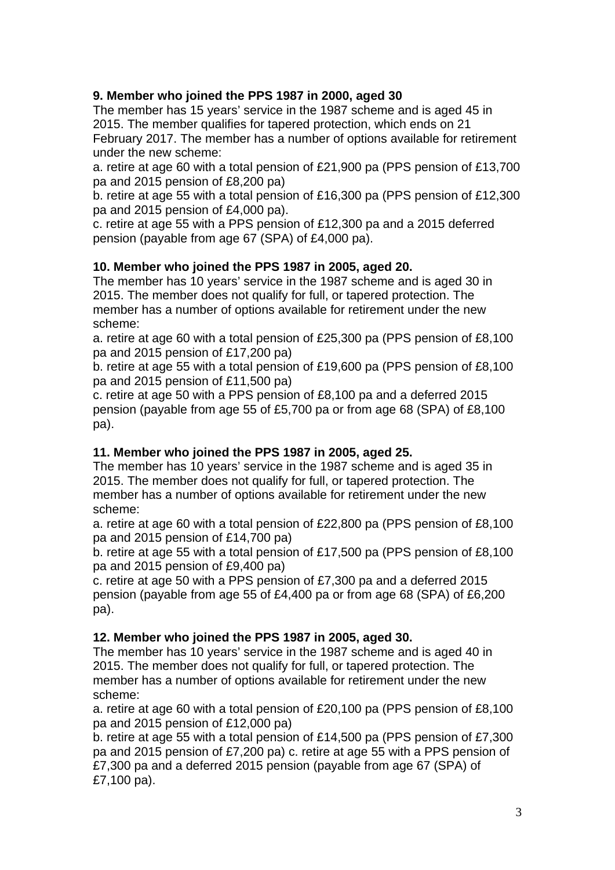## **9. Member who joined the PPS 1987 in 2000, aged 30**

The member has 15 years' service in the 1987 scheme and is aged 45 in 2015. The member qualifies for tapered protection, which ends on 21 February 2017. The member has a number of options available for retirement under the new scheme:

a. retire at age 60 with a total pension of £21,900 pa (PPS pension of £13,700 pa and 2015 pension of £8,200 pa)

b. retire at age 55 with a total pension of £16,300 pa (PPS pension of £12,300 pa and 2015 pension of £4,000 pa).

c. retire at age 55 with a PPS pension of £12,300 pa and a 2015 deferred pension (payable from age 67 (SPA) of £4,000 pa).

## **10. Member who joined the PPS 1987 in 2005, aged 20.**

The member has 10 years' service in the 1987 scheme and is aged 30 in 2015. The member does not qualify for full, or tapered protection. The member has a number of options available for retirement under the new scheme:

a. retire at age 60 with a total pension of £25,300 pa (PPS pension of £8,100 pa and 2015 pension of £17,200 pa)

b. retire at age 55 with a total pension of £19,600 pa (PPS pension of £8,100 pa and 2015 pension of £11,500 pa)

c. retire at age 50 with a PPS pension of £8,100 pa and a deferred 2015 pension (payable from age 55 of £5,700 pa or from age 68 (SPA) of £8,100 pa).

## **11. Member who joined the PPS 1987 in 2005, aged 25.**

The member has 10 years' service in the 1987 scheme and is aged 35 in 2015. The member does not qualify for full, or tapered protection. The member has a number of options available for retirement under the new scheme:

a. retire at age 60 with a total pension of £22,800 pa (PPS pension of £8,100 pa and 2015 pension of £14,700 pa)

b. retire at age 55 with a total pension of £17,500 pa (PPS pension of £8,100 pa and 2015 pension of £9,400 pa)

c. retire at age 50 with a PPS pension of £7,300 pa and a deferred 2015 pension (payable from age 55 of £4,400 pa or from age 68 (SPA) of £6,200 pa).

## **12. Member who joined the PPS 1987 in 2005, aged 30.**

The member has 10 years' service in the 1987 scheme and is aged 40 in 2015. The member does not qualify for full, or tapered protection. The member has a number of options available for retirement under the new scheme:

a. retire at age 60 with a total pension of £20,100 pa (PPS pension of £8,100 pa and 2015 pension of £12,000 pa)

b. retire at age 55 with a total pension of £14,500 pa (PPS pension of £7,300 pa and 2015 pension of £7,200 pa) c. retire at age 55 with a PPS pension of £7,300 pa and a deferred 2015 pension (payable from age 67 (SPA) of £7,100 pa).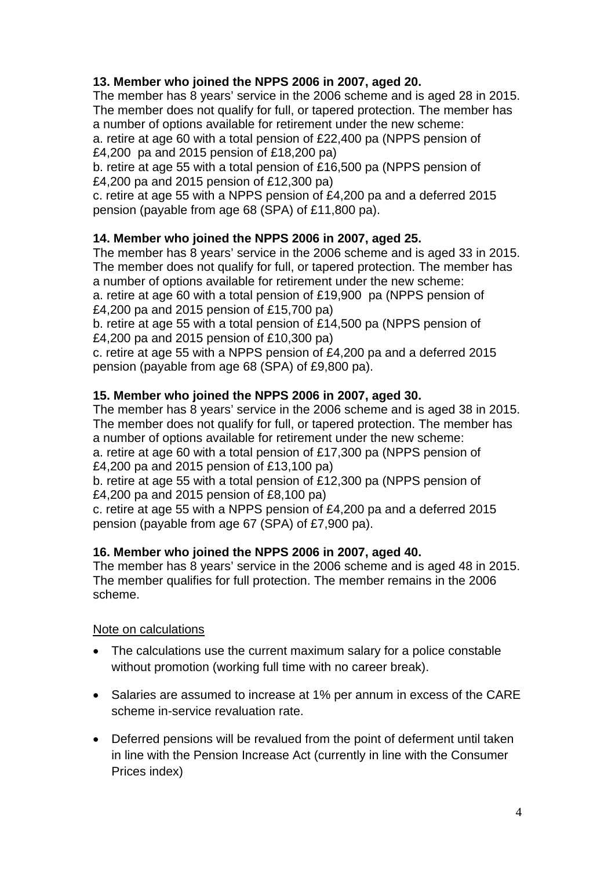## **13. Member who joined the NPPS 2006 in 2007, aged 20.**

The member has 8 years' service in the 2006 scheme and is aged 28 in 2015. The member does not qualify for full, or tapered protection. The member has a number of options available for retirement under the new scheme:

a. retire at age 60 with a total pension of £22,400 pa (NPPS pension of £4,200 pa and 2015 pension of £18,200 pa)

b. retire at age 55 with a total pension of £16,500 pa (NPPS pension of £4,200 pa and 2015 pension of £12,300 pa)

c. retire at age 55 with a NPPS pension of £4,200 pa and a deferred 2015 pension (payable from age 68 (SPA) of £11,800 pa).

# **14. Member who joined the NPPS 2006 in 2007, aged 25.**

The member has 8 years' service in the 2006 scheme and is aged 33 in 2015. The member does not qualify for full, or tapered protection. The member has a number of options available for retirement under the new scheme:

a. retire at age 60 with a total pension of £19,900 pa (NPPS pension of £4,200 pa and 2015 pension of £15,700 pa)

b. retire at age 55 with a total pension of £14,500 pa (NPPS pension of £4,200 pa and 2015 pension of £10,300 pa)

c. retire at age 55 with a NPPS pension of £4,200 pa and a deferred 2015 pension (payable from age 68 (SPA) of £9,800 pa).

## **15. Member who joined the NPPS 2006 in 2007, aged 30.**

The member has 8 years' service in the 2006 scheme and is aged 38 in 2015. The member does not qualify for full, or tapered protection. The member has a number of options available for retirement under the new scheme: a. retire at age 60 with a total pension of £17,300 pa (NPPS pension of £4,200 pa and 2015 pension of £13,100 pa) b. retire at age 55 with a total pension of £12,300 pa (NPPS pension of

£4,200 pa and 2015 pension of £8,100 pa)

c. retire at age 55 with a NPPS pension of £4,200 pa and a deferred 2015 pension (payable from age 67 (SPA) of £7,900 pa).

# **16. Member who joined the NPPS 2006 in 2007, aged 40.**

The member has 8 years' service in the 2006 scheme and is aged 48 in 2015. The member qualifies for full protection. The member remains in the 2006 scheme.

## Note on calculations

- The calculations use the current maximum salary for a police constable without promotion (working full time with no career break).
- Salaries are assumed to increase at 1% per annum in excess of the CARE scheme in-service revaluation rate.
- Deferred pensions will be revalued from the point of deferment until taken in line with the Pension Increase Act (currently in line with the Consumer Prices index)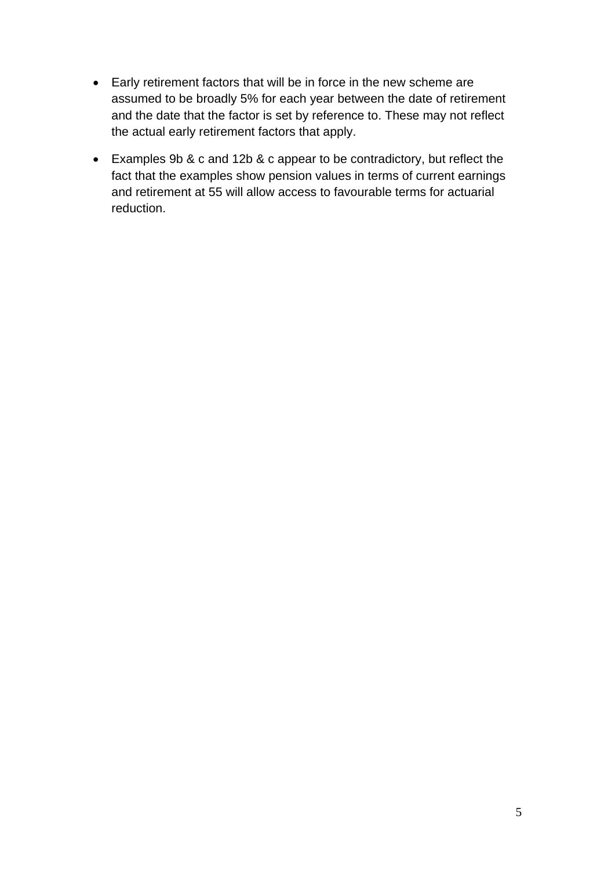- Early retirement factors that will be in force in the new scheme are assumed to be broadly 5% for each year between the date of retirement and the date that the factor is set by reference to. These may not reflect the actual early retirement factors that apply.
- Examples 9b & c and 12b & c appear to be contradictory, but reflect the fact that the examples show pension values in terms of current earnings and retirement at 55 will allow access to favourable terms for actuarial reduction.